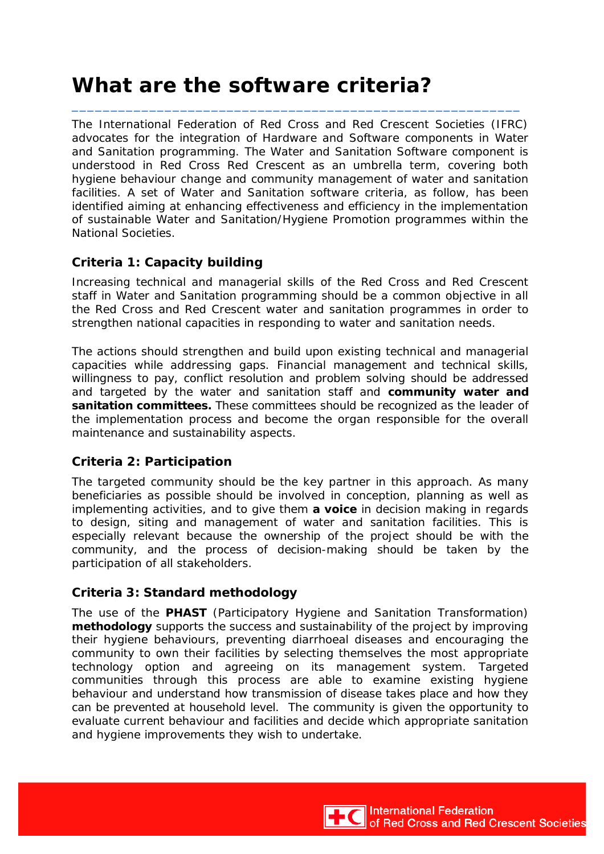# **What are the software criteria?**

The International Federation of Red Cross and Red Crescent Societies (IFRC) advocates for the integration of Hardware and Software components in Water and Sanitation programming. The Water and Sanitation Software component is understood in Red Cross Red Crescent as an umbrella term, covering both hygiene behaviour change and community management of water and sanitation facilities. A set of Water and Sanitation software criteria, as follow, has been identified aiming at enhancing effectiveness and efficiency in the implementation of sustainable Water and Sanitation/Hygiene Promotion programmes within the National Societies.

\_\_\_\_\_\_\_\_\_\_\_\_\_\_\_\_\_\_\_\_\_\_\_\_\_\_\_\_\_\_\_\_\_\_\_\_\_\_\_\_\_\_\_\_\_\_\_\_\_\_\_\_\_\_\_\_\_\_

## *Criteria 1: Capacity building*

Increasing technical and managerial skills of the Red Cross and Red Crescent staff in Water and Sanitation programming should be a common objective in all the Red Cross and Red Crescent water and sanitation programmes in order to strengthen national capacities in responding to water and sanitation needs.

The actions should strengthen and build upon existing technical and managerial capacities while addressing gaps. Financial management and technical skills, willingness to pay, conflict resolution and problem solving should be addressed and targeted by the water and sanitation staff and **community water and sanitation committees.** These committees should be recognized as the leader of the implementation process and become the organ responsible for the overall maintenance and sustainability aspects.

## *Criteria 2: Participation*

The targeted community should be the key partner in this approach. As many beneficiaries as possible should be involved in conception, planning as well as implementing activities, and to give them **a voice** in decision making in regards to design, siting and management of water and sanitation facilities. This is especially relevant because the ownership of the project should be with the community, and the process of decision-making should be taken by the participation of all stakeholders.

## *Criteria 3: Standard methodology*

The use of the **PHAST** (Participatory Hygiene and Sanitation Transformation) **methodology** supports the success and sustainability of the project by improving their hygiene behaviours, preventing diarrhoeal diseases and encouraging the community to own their facilities by selecting themselves the most appropriate technology option and agreeing on its management system. Targeted communities through this process are able to examine existing hygiene behaviour and understand how transmission of disease takes place and how they can be prevented at household level. The community is given the opportunity to evaluate current behaviour and facilities and decide which appropriate sanitation and hygiene improvements they wish to undertake.

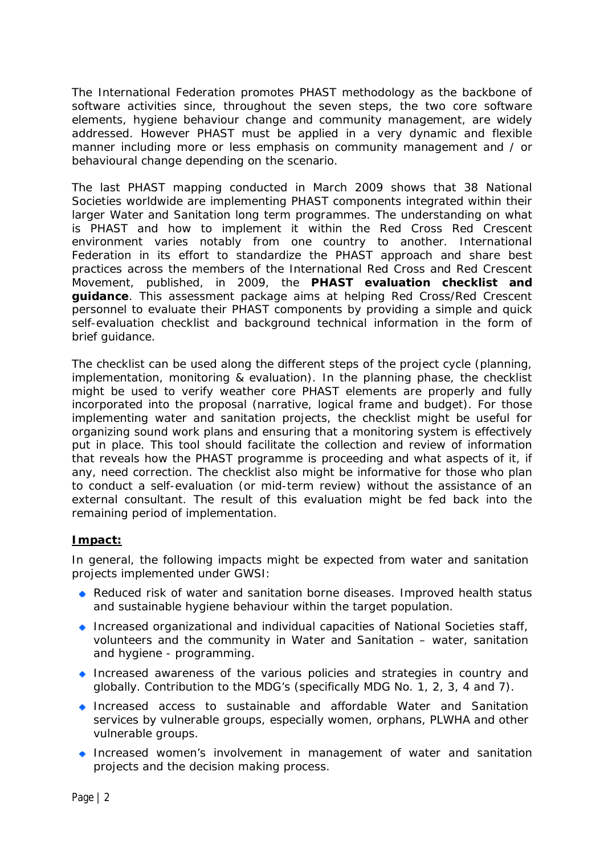The International Federation promotes PHAST methodology as the backbone of software activities since, throughout the seven steps, the two core software elements, hygiene behaviour change and community management, are widely addressed. However PHAST must be applied in a very dynamic and flexible manner including more or less emphasis on community management and / or behavioural change depending on the scenario.

The last PHAST mapping conducted in March 2009 shows that 38 National Societies worldwide are implementing PHAST components integrated within their larger Water and Sanitation long term programmes. The understanding on what is PHAST and how to implement it within the Red Cross Red Crescent environment varies notably from one country to another. International Federation in its effort to standardize the PHAST approach and share best practices across the members of the International Red Cross and Red Crescent Movement, published, in 2009, the **PHAST evaluation checklist and guidance**. This assessment package aims at helping Red Cross/Red Crescent personnel to evaluate their PHAST components by providing a simple and quick self-evaluation checklist and background technical information in the form of brief guidance.

The checklist can be used along the different steps of the project cycle (planning, implementation, monitoring & evaluation). In the planning phase, the checklist might be used to verify weather core PHAST elements are properly and fully incorporated into the proposal (narrative, logical frame and budget). For those implementing water and sanitation projects, the checklist might be useful for organizing sound work plans and ensuring that a monitoring system is effectively put in place. This tool should facilitate the collection and review of information that reveals how the PHAST programme is proceeding and what aspects of it, if any, need correction. The checklist also might be informative for those who plan to conduct a self-evaluation (or mid-term review) without the assistance of an external consultant. The result of this evaluation might be fed back into the remaining period of implementation.

### **Impact:**

In general, the following impacts might be expected from water and sanitation projects implemented under GWSI:

- Reduced risk of water and sanitation borne diseases. Improved health status and sustainable hygiene behaviour within the target population.
- $\bullet$  Increased organizational and individual capacities of National Societies staff, volunteers and the community in Water and Sanitation – water, sanitation and hygiene - programming.
- Increased awareness of the various policies and strategies in country and globally. Contribution to the MDG's (specifically MDG No. 1, 2, 3, 4 and 7).
- Increased access to sustainable and affordable Water and Sanitation services by vulnerable groups, especially women, orphans, PLWHA and other vulnerable groups.
- **Increased women's involvement in management of water and sanitation** projects and the decision making process.